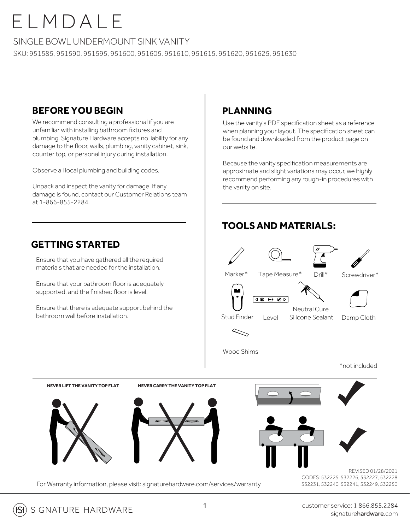#### SINGLE BOWL UNDERMOUNT SINK VANITY

SKU: 951585, 951590, 951595, 951600, 951605, 951610, 951615, 951620, 951625, 951630

### **BEFORE YOU BEGIN**

We recommend consulting a professional if you are unfamiliar with installing bathroom fixtures and plumbing. Signature Hardware accepts no liability for any damage to the floor, walls, plumbing, vanity cabinet, sink, counter top, or personal injury during installation.

Observe all local plumbing and building codes.

Unpack and inspect the vanity for damage. If any damage is found, contact our Customer Relations team at 1-866-855-2284.

### **GETTING STARTED**

Ensure that you have gathered all the required materials that are needed for the installation.

Ensure that your bathroom floor is adequately supported, and the finished floor is level.

Ensure that there is adequate support behind the bathroom wall before installation.

### **PLANNING**

Use the vanity's PDF specification sheet as a reference when planning your layout. The specification sheet can be found and downloaded from the product page on our website.

Because the vanity specification measurements are approximate and slight variations may occur, we highly recommend performing any rough-in procedures with the vanity on site.

### **TOOLSAND MATERIALS:**





For Warranty information, please visit: signaturehardware.com/services/warranty

CODES: 532225, 532226, 532227, 532228 532231, 532240, 532241, 532249, 532250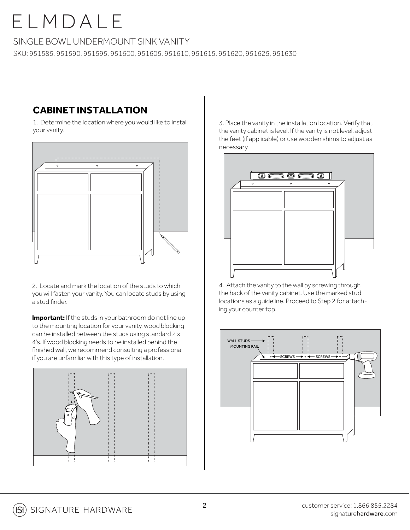#### SINGLE BOWL UNDERMOUNT SINK VANITY

SKU: 951585, 951590, 951595, 951600, 951605, 951610, 951615, 951620, 951625, 951630

### **CABINET INSTALLATION**

1. Determine the location where you would like to install your vanity.



2. Locate and mark the location of the studs to which you will fasten your vanity. You can locate studs by using a stud finder.

**Important:** If the studs in your bathroom do not line up to the mounting location for your vanity, wood blocking can be installed between the studs using standard 2 x 4's. If wood blocking needs to be installed behind the finished wall, we recommend consulting a professional if you are unfamiliar with this type of installation.



3. Place the vanity in the installation location. Verify that the vanity cabinet is level. If the vanity is not level, adjust the feet (if applicable) or use wooden shims to adjust as necessary.



4. Attach the vanity to the wall by screwing through the back of the vanity cabinet. Use the marked stud locations as a guideline. Proceed to Step 2 for attaching your counter top.

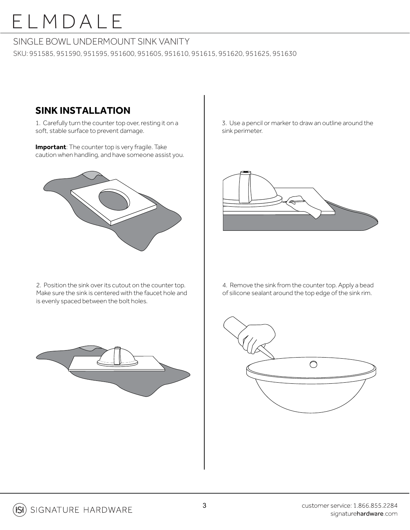#### SINGLE BOWL UNDERMOUNT SINK VANITY

SKU: 951585, 951590, 951595, 951600, 951605, 951610, 951615, 951620, 951625, 951630

### **SINK INSTALLATION**

1. Carefully turn the counter top over, resting it on a soft, stable surface to prevent damage.

**Important**: The counter top is very fragile. Take caution when handling, and have someone assist you.



2. Position the sink over its cutout on the counter top. Make sure the sink is centered with the faucet hole and is evenly spaced between the bolt holes.

3. Use a pencil or marker to draw an outline around the sink perimeter.



4. Remove the sink from the counter top. Apply a bead of silicone sealant around the top edge of the sink rim.



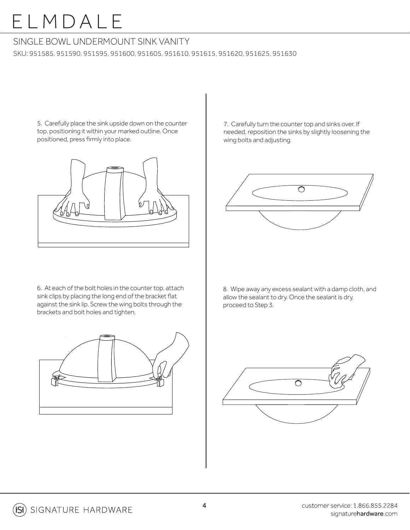#### SINGLE BOWL UNDERMOUNT SINK VANITY

SKU: 951585, 951590, 951595, 951600, 951605, 951610, 951615, 951620, 951625, 951630

5. Carefully place the sink upside down on the counter top, positioning it within your marked outline. Once positioned, press firmly into place.



6. At each of the bolt holes in the counter top, attach sink clips by placing the long end of the bracket flat against the sink lip. Screw the wing bolts through the brackets and bolt holes and tighten.



7. Carefully turn the counter top and sinks over. If needed, reposition the sinks by slightly loosening the wing bolts and adjusting.



8. Wipe away any excess sealant with a damp cloth, and allow the sealant to dry. Once the sealant is dry, proceed to Step 3.

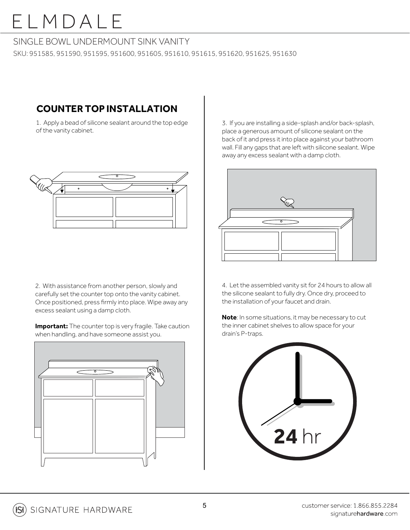#### SINGLE BOWL UNDERMOUNT SINK VANITY

SKU: 951585, 951590, 951595, 951600, 951605, 951610, 951615, 951620, 951625, 951630

### **COUNTER TOP INSTALLATION**

1. Apply a bead of silicone sealant around the top edge of the vanity cabinet.



2. With assistance from another person, slowly and carefully set the counter top onto the vanity cabinet. Once positioned, press firmly into place. Wipe away any excess sealant using a damp cloth.

**Important:** The counter top is very fragile. Take caution when handling, and have someone assist you.



3. If you are installing a side-splash and/or back-splash, place a generous amount of silicone sealant on the back of it and press it into place against your bathroom wall. Fill any gaps that are left with silicone sealant. Wipe away any excess sealant with a damp cloth.



4. Let the assembled vanity sit for 24 hours to allow all the silicone sealant to fully dry. Once dry, proceed to the installation of your faucet and drain.

**Note**: In some situations, it may be necessary to cut the inner cabinet shelves to allow space for your drain's P-traps.

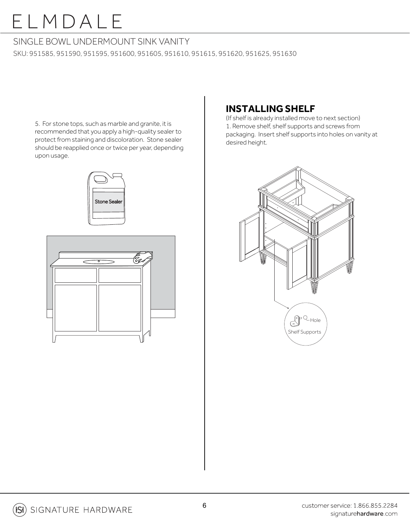#### SINGLE BOWL UNDERMOUNT SINK VANITY

SKU: 951585, 951590, 951595, 951600, 951605, 951610, 951615, 951620, 951625, 951630

5. For stone tops, such as marble and granite, it is recommended that you apply a high-quality sealer to protect from staining and discoloration. Stone sealer should be reapplied once or twice per year, depending upon usage.

# Stone Sealer



### **INSTALLING SHELF**

1. Remove shelf, shelf supports and screws from packaging. Insert shelf supports into holes on vanity at desired height. (If shelf is already installed move to next section)

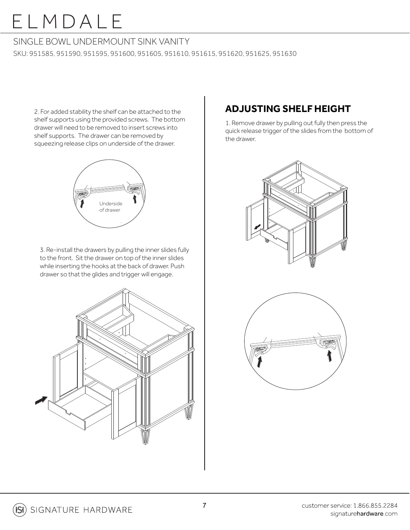#### SINGLE BOWL UNDERMOUNT SINK VANITY

SKU: 951585, 951590, 951595, 951600, 951605, 951610, 951615, 951620, 951625, 951630

2. For added stability the shelf can be attached to the shelf supports using the provided screws. The bottom drawer will need to be removed to insert screws into shelf supports. The drawer can be removed by squeezing release clips on underside of the drawer.



3. Re-install the drawers by pulling the inner slides fully to the front. Sit the drawer on top of the inner slides while inserting the hooks at the back of drawer. Push drawer so that the glides and trigger will engage.



### **ADJUSTING SHELF HEIGHT**

1. Remove drawer by pulling out fully then press the quick release trigger of the slides from the bottom of the drawer.